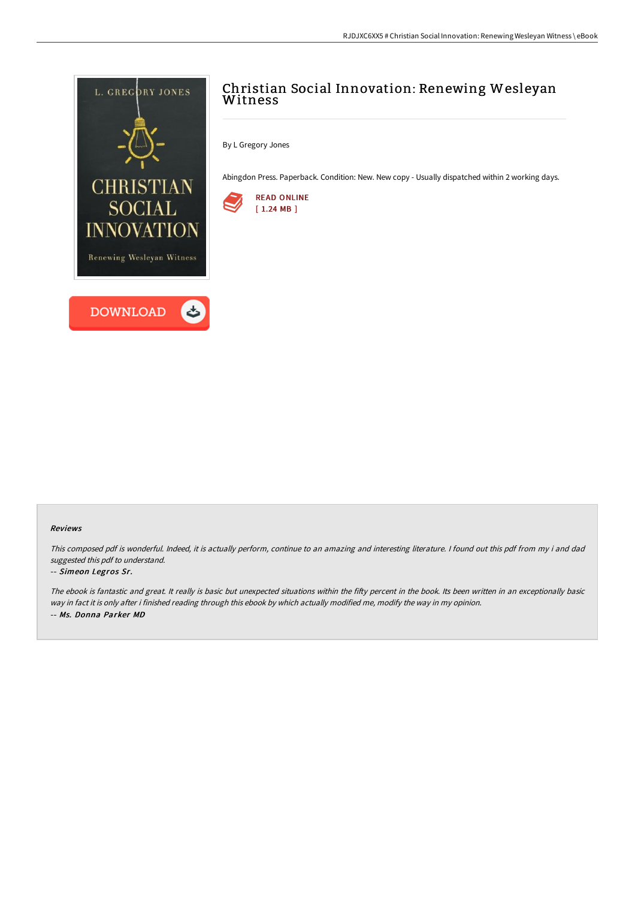

## Christian Social Innovation: Renewing Wesleyan Witness

By L Gregory Jones

Abingdon Press. Paperback. Condition: New. New copy - Usually dispatched within 2 working days.



## Reviews

This composed pdf is wonderful. Indeed, it is actually perform, continue to an amazing and interesting literature. I found out this pdf from my i and dad suggested this pdf to understand.

## -- Simeon Legros Sr.

The ebook is fantastic and great. It really is basic but unexpected situations within the fifty percent in the book. Its been written in an exceptionally basic way in fact it is only after i finished reading through this ebook by which actually modified me, modify the way in my opinion. -- Ms. Donna Parker MD